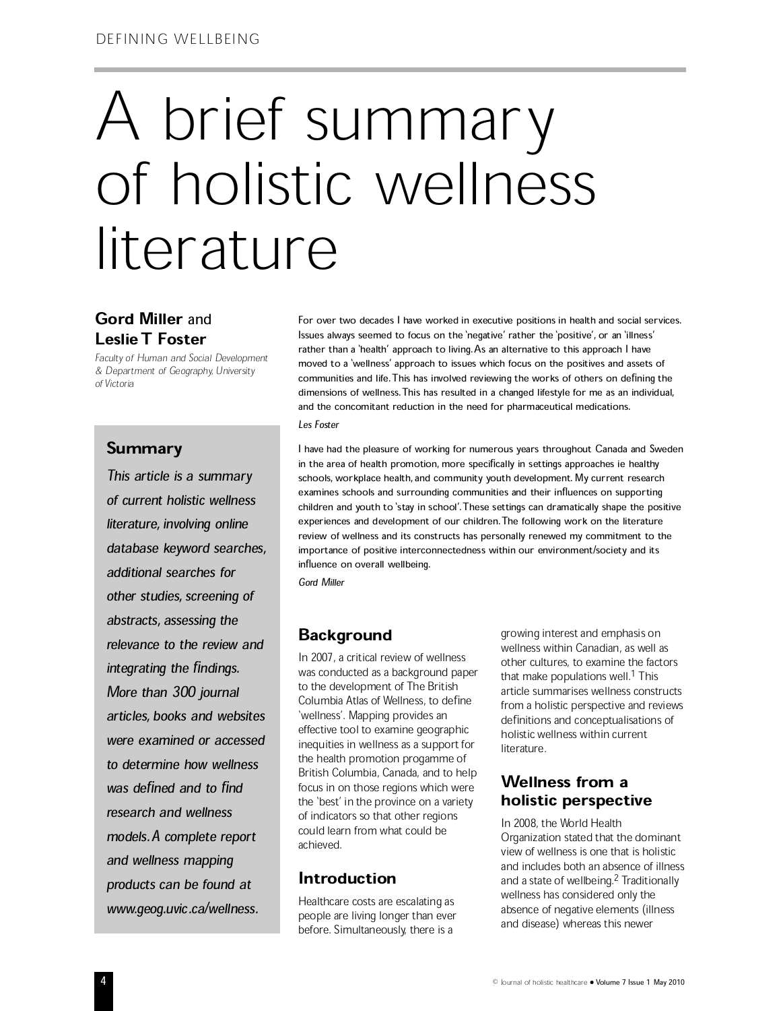# A brief summary<br>of holistic wellness<br>literature

# Gord Miller and Leslie T Foster

Faculty of Human and Social Development & Department of Geography, University of Victoria

## Summary

This article is a summary of current holistic wellness literature, involving online database keyword searches, additional searches for other studies, screening of abstracts, assessing the relevance to the review and integrating the findings. More than 300 journal articles, books and websites were examined or accessed to determine how wellness was defined and to find research and wellness models. A complete report and wellness mapping products can be found at www.geog.uvic.ca/wellness.

For over two decades I have worked in executive positions in health and social services. Issues always seemed to focus on the `negative' rather the `positive', or an `illness' rather than a 'health' approach to living. As an alternative to this approach I have moved to a `wellness' approach to issues which focus on the positives and assets of communities and life. This has involved reviewing the works of others on defining the dimensions of wellness.This has resulted in a changed lifestyle for me as an individual, and the concomitant reduction in the need for pharmaceutical medications. Les Foster

I have had the pleasure of working for numerous years throughout Canada and Sweden in the area of health promotion, more specifically in settings approaches ie healthy schools, workplace health, and community youth development. My current research examines schools and surrounding communities and their influences on supporting children and youth to 'stay in school'. These settings can dramatically shape the positive experiences and development of our children.The following work on the literature review of wellness and its constructs has personally renewed my commitment to the importance of positive interconnectedness within our environment/society and its influence on overall wellbeing.

Gord Miller

# **Background**

In 2007, a critical review of wellness was conducted as a background paper to the development of The British Columbia Atlas of Wellness, to define `wellness'. Mapping provides an effective tool to examine geographic inequities in wellness as a support for the health promotion progamme of British Columbia, Canada, and to help focus in on those regions which were the `best' in the province on a variety of indicators so that other regions could learn from what could be achieved.

## Introduction

Healthcare costs are escalating as people are living longer than ever before. Simultaneously, there is a

growing interest and emphasis on wellness within Canadian, as well as other cultures, to examine the factors that make populations well.<sup>1</sup> This article summarises wellness constructs from a holistic perspective and reviews definitions and conceptualisations of holistic wellness within current literature.

# Wellness from a<br>holistic perspective

In 2008, the World Health Organization stated that the dominant view of wellness is one that is holistic and includes both an absence of illness and a state of wellbeing.<sup>2</sup> Traditionally wellness has considered only the absence of negative elements (illness and disease) whereas this newer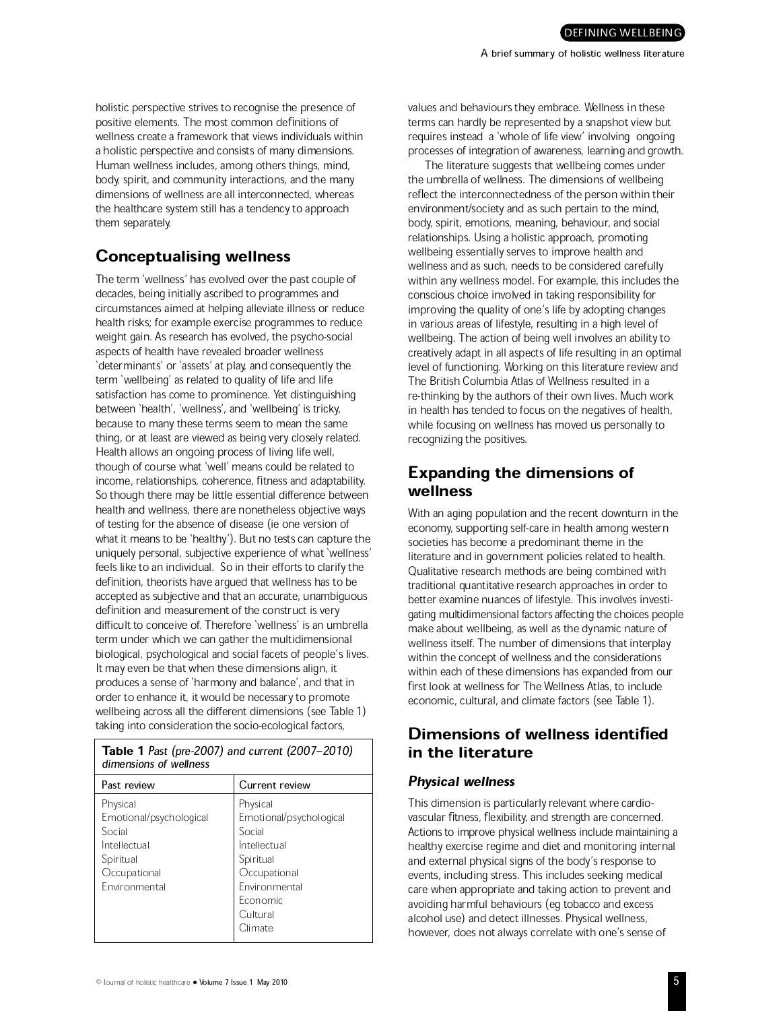holistic perspective strives to recognise the presence of positive elements. The most common definitions of wellness create a framework that views individuals within a holistic perspective and consists of many dimensions. Human wellness includes, among others things, mind, body, spirit, and community interactions, and the many dimensions of wellness are all interconnected, whereas the healthcare system still has a tendency to approach them separately.

## Conceptualising wellness

The term `wellness' has evolved over the past couple of decades, being initially ascribed to programmes and circumstances aimed at helping alleviate illness or reduce health risks; for example exercise programmes to reduce weight gain. As research has evolved, the psycho-social aspects of health have revealed broader wellness `determinants' or `assets' at play, and consequently the term `wellbeing' as related to quality of life and life satisfaction has come to prominence. Yet distinguishing between `health', `wellness', and `wellbeing' is tricky, because to many these terms seem to mean the same thing, or at least are viewed as being very closely related. Health allows an ongoing process of living life well, though of course what `well' means could be related to income, relationships, coherence, fitness and adaptability. So though there may be little essential difference between health and wellness, there are nonetheless objective ways of testing for the absence of disease (ie one version of what it means to be `healthy'). But no tests can capture the uniquely personal, subjective experience of what `wellness' feels like to an individual. So in their efforts to clarify the definition, theorists have argued that wellness has to be accepted as subjective and that an accurate, unambiguous definition and measurement of the construct is very difficult to conceive of. Therefore `wellness' is an umbrella term under which we can gather the multidimensional biological, psychological and social facets of people's lives. It may even be that when these dimensions align, it produces a sense of `harmony and balance', and that in order to enhance it, it would be necessary to promote wellbeing across all the different dimensions (see Table 1) taking into consideration the socio-ecological factors,

Table 1 Past (pre-2007) and current (2007-2010) dimensions of wellness

| Past review             | Current review          |
|-------------------------|-------------------------|
| Physical                | Physical                |
| Emotional/psychological | Emotional/psychological |
| Social                  | Social                  |
| Intellectual            | Intellectual            |
| Spiritual               | Spiritual               |
| Occupational            | Occupational            |
| Fnvironmental           | Fnvironmental           |
|                         | <b>Economic</b>         |
|                         | Cultural                |
|                         | Climate                 |
|                         |                         |

values and behaviours they embrace. Wellness in these terms can hardly be represented by a snapshot view but requires instead a `whole of life view' involving ongoing processes of integration of awareness, learning and growth.

The literature suggests that wellbeing comes under the umbrella of wellness. The dimensions of wellbeing reflect the interconnectedness of the person within their environment/society and as such pertain to the mind, body, spirit, emotions, meaning, behaviour, and social relationships. Using a holistic approach, promoting wellbeing essentially serves to improve health and wellness and as such, needs to be considered carefully within any wellness model. For example, this includes the conscious choice involved in taking responsibility for improving the quality of one's life by adopting changes in various areas of lifestyle, resulting in a high level of wellbeing. The action of being well involves an ability to creatively adapt in all aspects of life resulting in an optimal level of functioning. Working on this literature review and The British Columbia Atlas of Wellness resulted in a re-thinking by the authors of their own lives. Much work in health has tended to focus on the negatives of health, while focusing on wellness has moved us personally to recognizing the positives.

# Expanding the dimensions of wellness

With an aging population and the recent downturn in the economy, supporting self-care in health among western societies has become a predominant theme in the literature and in government policies related to health. Qualitative research methods are being combined with traditional quantitative research approaches in order to better examine nuances of lifestyle. This involves investigating multidimensional factors affecting the choices people make about wellbeing, as well as the dynamic nature of wellness itself. The number of dimensions that interplay within the concept of wellness and the considerations within each of these dimensions has expanded from our first look at wellness for The Wellness Atlas, to include economic, cultural, and climate factors (see Table 1).

### Dimensions of wellness identified in the literature

#### Physical wellness

This dimension is particularly relevant where cardiovascular fitness, flexibility, and strength are concerned. Actions to improve physical wellness include maintaining a healthy exercise regime and diet and monitoring internal and external physical signs of the body's response to events, including stress. This includes seeking medical care when appropriate and taking action to prevent and avoiding harmful behaviours (eg tobacco and excess alcohol use) and detect illnesses. Physical wellness, however, does not always correlate with one's sense of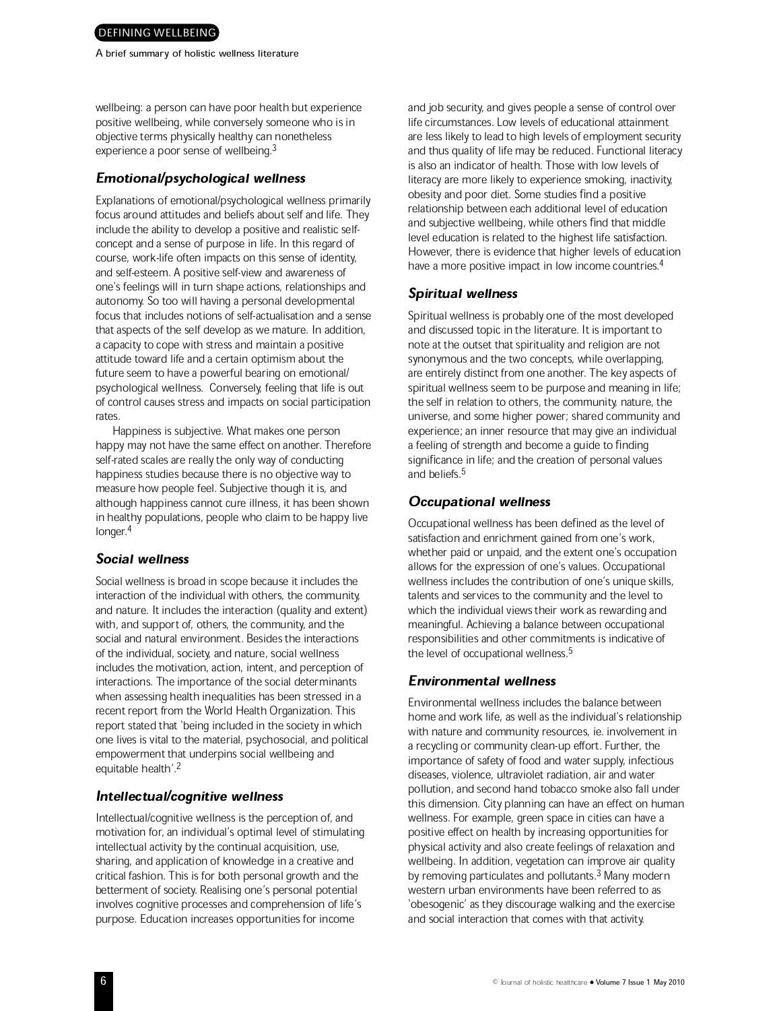A brief summary of holistic wellness literature

wellbeing: a person can have poor health but experience positive wellbeing, while conversely someone who is in objective terms physically healthy can nonetheless experience a poor sense of wellbeing.<sup>3</sup>

#### Emotional/psychological wellness

Explanations of emotional/psychological wellness primarily focus around attitudes and beliefs about self and life. They include the ability to develop a positive and realistic selfconcept and a sense of purpose in life. In this regard of course, work-life often impacts on this sense of identity, and self-esteem. A positive self-view and awareness of one's feelings will in turn shape actions, relationships and autonomy. So too will having a personal developmental focus that includes notions of self-actualisation and a sense that aspects of the self develop as we mature. In addition, a capacity to cope with stress and maintain a positive attitude toward life and a certain optimism about the future seem to have a powerful bearing on emotional/ psychological wellness. Conversely, feeling that life is out of control causes stress and impacts on social participation rates.

Happiness is subjective. What makes one person happy may not have the same effect on another. Therefore self-rated scales are really the only way of conducting happiness studies because there is no objective way to measure how people feel. Subjective though it is, and although happiness cannot cure illness, it has been shown in healthy populations, people who claim to be happy live longer.<sup>4</sup>

#### Social wellness

Social wellness is broad in scope because it includes the interaction of the individual with others, the community, and nature. It includes the interaction (quality and extent) with, and support of, others, the community, and the social and natural environment. Besides the interactions of the individual, society, and nature, social wellness includes the motivation, action, intent, and perception of interactions. The importance of the social determinants when assessing health inequalities has been stressed in a recent report from the World Health Organization. This report stated that `being included in the society in which one lives is vital to the material, psychosocial, and political empowerment that underpins social wellbeing and equitable health'.<sup>2</sup>

#### Intellectual/cognitive wellness

Intellectual/cognitive wellness is the perception of, and motivation for, an individual's optimal level of stimulating intellectual activity by the continual acquisition, use, sharing, and application of knowledge in a creative and critical fashion. This is for both personal growth and the betterment of society. Realising one's personal potential involves cognitive processes and comprehension of life's purpose. Education increases opportunities for income

and job security, and gives people a sense of control over life circumstances. Low levels of educational attainment are less likely to lead to high levels of employment security and thus quality of life may be reduced. Functional literacy is also an indicator of health. Those with low levels of literacy are more likely to experience smoking, inactivity, obesity and poor diet. Some studies find a positive relationship between each additional level of education and subjective wellbeing, while others find that middle level education is related to the highest life satisfaction. However, there is evidence that higher levels of education have a more positive impact in low income countries.<sup>4</sup>

#### Spiritual wellness

Spiritual wellness is probably one of the most developed and discussed topic in the literature. It is important to note at the outset that spirituality and religion are not synonymous and the two concepts, while overlapping, are entirely distinct from one another. The key aspects of spiritual wellness seem to be purpose and meaning in life; the self in relation to others, the community, nature, the universe, and some higher power; shared community and experience; an inner resource that may give an individual a feeling of strength and become a guide to finding significance in life; and the creation of personal values and beliefs.<sup>5</sup>

#### Occupational wellness

Occupational wellness has been defined as the level of satisfaction and enrichment gained from one's work, whether paid or unpaid, and the extent one's occupation allows for the expression of one's values. Occupational wellness includes the contribution of one's unique skills, talents and services to the community and the level to which the individual views their work as rewarding and meaningful. Achieving a balance between occupational responsibilities and other commitments is indicative of the level of occupational wellness.<sup>5</sup>

#### Environmental wellness

Environmental wellness includes the balance between home and work life, as well as the individual's relationship with nature and community resources, ie. involvement in a recycling or community clean-up effort. Further, the importance of safety of food and water supply, infectious diseases, violence, ultraviolet radiation, air and water pollution, and second hand tobacco smoke also fall under this dimension. City planning can have an effect on human wellness. For example, green space in cities can have a positive effect on health by increasing opportunities for physical activity and also create feelings of relaxation and wellbeing. In addition, vegetation can improve air quality by removing particulates and pollutants.<sup>3</sup> Many modern western urban environments have been referred to as `obesogenic' as they discourage walking and the exercise and social interaction that comes with that activity.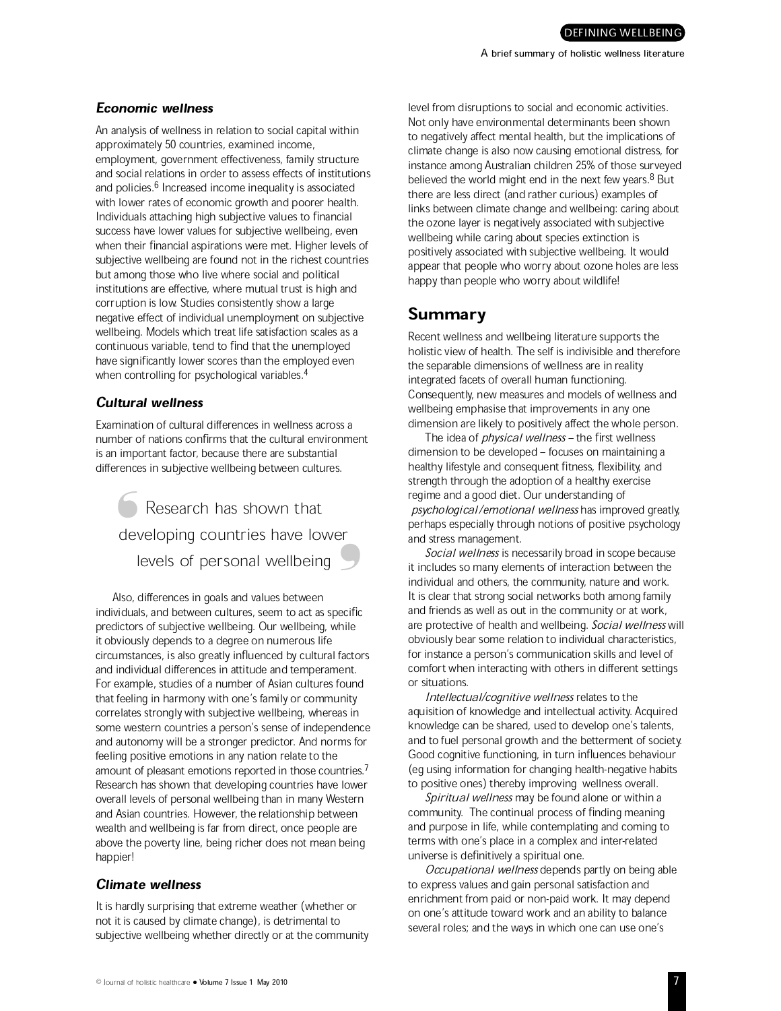#### Economic wellness

An analysis of wellness in relation to social capital within approximately 50 countries, examined income, employment, government effectiveness, family structure and social relations in order to assess effects of institutions and policies.<sup>6</sup> Increased income inequality is associated with lower rates of economic growth and poorer health. Individuals attaching high subjective values to financial success have lower values for subjective wellbeing, even when their financial aspirations were met. Higher levels of subjective wellbeing are found not in the richest countries but among those who live where social and political institutions are effective, where mutual trust is high and corruption is low. Studies consistently show a large negative effect of individual unemployment on subjective wellbeing. Models which treat life satisfaction scales as a continuous variable, tend to find that the unemployed have significantly lower scores than the employed even when controlling for psychological variables.<sup>4</sup>

#### Cultural wellness

Examination of cultural differences in wellness across a number of nations confirms that the cultural environment is an important factor, because there are substantial differences in subjective wellbeing between cultures.

Research has shown that Solle Research has shown that<br>
developing countries have lower levels of personal wellbeing ❛

Also, differences in goals and values between individuals, and between cultures, seem to act as specific predictors of subjective wellbeing. Our wellbeing, while it obviously depends to a degree on numerous life circumstances, is also greatly influenced by cultural factors and individual differences in attitude and temperament. For example, studies of a number of Asian cultures found that feeling in harmony with one's family or community correlates strongly with subjective wellbeing, whereas in some western countries a person's sense of independence and autonomy will be a stronger predictor. And norms for feeling positive emotions in any nation relate to the amount of pleasant emotions reported in those countries.<sup>7</sup> Research has shown that developing countries have lower overall levels of personal wellbeing than in many Western and Asian countries. However, the relationship between wealth and wellbeing is far from direct, once people are above the poverty line, being richer does not mean being happier!

#### Climate wellness

It is hardly surprising that extreme weather (whether or not it is caused by climate change), is detrimental to subjective wellbeing whether directly or at the community level from disruptions to social and economic activities. Not only have environmental determinants been shown to negatively affect mental health, but the implications of climate change is also now causing emotional distress, for instance among Australian children 25% of those surveyed believed the world might end in the next few years.<sup>8</sup> But there are less direct (and rather curious) examples of links between climate change and wellbeing: caring about the ozone layer is negatively associated with subjective wellbeing while caring about species extinction is positively associated with subjective wellbeing. It would appear that people who worry about ozone holes are less happy than people who worry about wildlife!

# Summary

Recent wellness and wellbeing literature supports the holistic view of health. The self is indivisible and therefore the separable dimensions of wellness are in reality integrated facets of overall human functioning. Consequently, new measures and models of wellness and wellbeing emphasise that improvements in any one dimension are likely to positively affect the whole person.

The idea of *physical wellness* - the first wellness dimension to be developed - focuses on maintaining a healthy lifestyle and consequent fitness, flexibility, and strength through the adoption of a healthy exercise regime and a good diet. Our understanding of psychological/emotional wellness has improved greatly, perhaps especially through notions of positive psychology and stress management.

Social wellness is necessarily broad in scope because it includes so many elements of interaction between the individual and others, the community, nature and work. It is clear that strong social networks both among family and friends as well as out in the community or at work, are protective of health and wellbeing. Social wellness will obviously bear some relation to individual characteristics, for instance a person's communication skills and level of comfort when interacting with others in different settings or situations.

Intellectual/cognitive wellness relates to the aquisition of knowledge and intellectual activity. Acquired knowledge can be shared, used to develop one's talents, and to fuel personal growth and the betterment of society. Good cognitive functioning, in turn influences behaviour (eg using information for changing health-negative habits to positive ones) thereby improving wellness overall.

Spiritual wellness may be found alone or within a community. The continual process of finding meaning and purpose in life, while contemplating and coming to terms with one's place in a complex and inter-related universe is definitively a spiritual one.

Occupational wellness depends partly on being able to express values and gain personal satisfaction and enrichment from paid or non-paid work. It may depend on one's attitude toward work and an ability to balance several roles; and the ways in which one can use one's